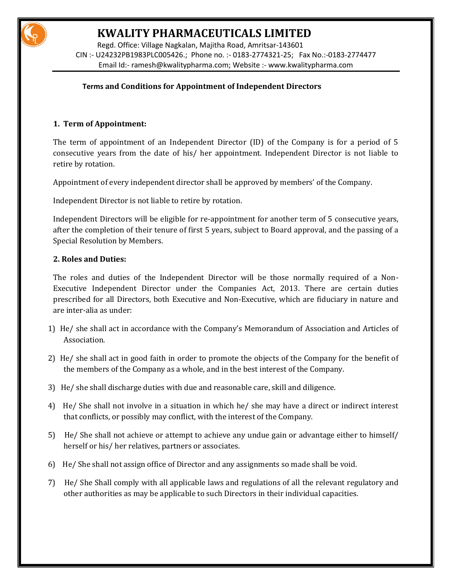

# **KWALITY PHARMACEUTICALS LIMITED**

 Regd. Office: Village Nagkalan, Majitha Road, Amritsar-143601 CIN :- U24232PB1983PLC005426.; Phone no. :- 0183-2774321-25; Fax No.:-0183-2774477 Email Id:- [ramesh@kwalitypharma.com;](mailto:ramesh@kwalitypharma.com) Website :[- www.kwalitypharma.com](http://www.kwalitypharma.com/) 

### **Terms and Conditions for Appointment of Independent Directors**

### **1. Term of Appointment:**

The term of appointment of an Independent Director (ID) of the Company is for a period of 5 consecutive years from the date of his/ her appointment. Independent Director is not liable to retire by rotation.

Appointment of every independent director shall be approved by members' of the Company.

Independent Director is not liable to retire by rotation.

Independent Directors will be eligible for re-appointment for another term of 5 consecutive years, after the completion of their tenure of first 5 years, subject to Board approval, and the passing of a Special Resolution by Members.

#### **2. Roles and Duties:**

The roles and duties of the Independent Director will be those normally required of a Non-Executive Independent Director under the Companies Act, 2013. There are certain duties prescribed for all Directors, both Executive and Non-Executive, which are fiduciary in nature and are inter-alia as under:

- 1) He/ she shall act in accordance with the Company's Memorandum of Association and Articles of Association.
- 2) He/ she shall act in good faith in order to promote the objects of the Company for the benefit of the members of the Company as a whole, and in the best interest of the Company.
- 3) He/ she shall discharge duties with due and reasonable care, skill and diligence.
- 4) He/ She shall not involve in a situation in which he/ she may have a direct or indirect interest that conflicts, or possibly may conflict, with the interest of the Company.
- 5) He/ She shall not achieve or attempt to achieve any undue gain or advantage either to himself/ herself or his/ her relatives, partners or associates.
- 6) He/ She shall not assign office of Director and any assignments so made shall be void.
- 7) He/ She Shall comply with all applicable laws and regulations of all the relevant regulatory and other authorities as may be applicable to such Directors in their individual capacities.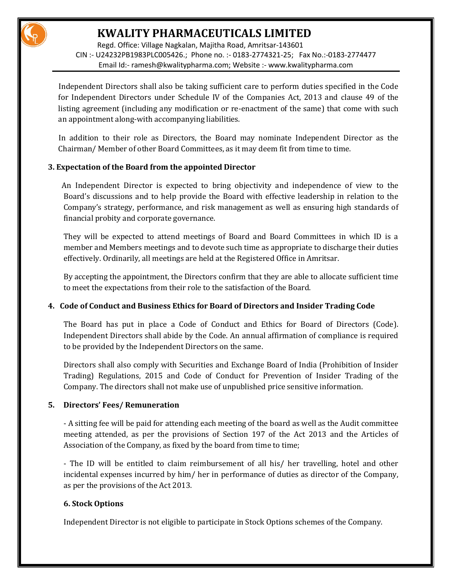

 Regd. Office: Village Nagkalan, Majitha Road, Amritsar-143601 CIN :- U24232PB1983PLC005426.; Phone no. :- 0183-2774321-25; Fax No.:-0183-2774477 Email Id:- [ramesh@kwalitypharma.com;](mailto:ramesh@kwalitypharma.com) Website :[- www.kwalitypharma.com](http://www.kwalitypharma.com/) 

 Independent Directors shall also be taking sufficient care to perform duties specified in the Code for Independent Directors under Schedule IV of the Companies Act, 2013 and clause 49 of the listing agreement (including any modification or re-enactment of the same) that come with such an appointment along-with accompanying liabilities.

 In addition to their role as Directors, the Board may nominate Independent Director as the Chairman/ Member of other Board Committees, as it may deem fit from time to time.

### **3. Expectation of the Board from the appointed Director**

 An Independent Director is expected to bring objectivity and independence of view to the Board's discussions and to help provide the Board with effective leadership in relation to the Company's strategy, performance, and risk management as well as ensuring high standards of financial probity and corporate governance.

They will be expected to attend meetings of Board and Board Committees in which ID is a member and Members meetings and to devote such time as appropriate to discharge their duties effectively. Ordinarily, all meetings are held at the Registered Office in Amritsar.

By accepting the appointment, the Directors confirm that they are able to allocate sufficient time to meet the expectations from their role to the satisfaction of the Board.

### **4. Code of Conduct and Business Ethics for Board of Directors and Insider Trading Code**

The Board has put in place a Code of Conduct and Ethics for Board of Directors (Code). Independent Directors shall abide by the Code. An annual affirmation of compliance is required to be provided by the Independent Directors on the same.

Directors shall also comply with Securities and Exchange Board of India (Prohibition of Insider Trading) Regulations, 2015 and Code of Conduct for Prevention of Insider Trading of the Company. The directors shall not make use of unpublished price sensitive information.

### **5. Directors' Fees/ Remuneration**

- A sitting fee will be paid for attending each meeting of the board as well as the Audit committee meeting attended, as per the provisions of Section 197 of the Act 2013 and the Articles of Association of the Company, as fixed by the board from time to time;

- The ID will be entitled to claim reimbursement of all his/ her travelling, hotel and other incidental expenses incurred by him/ her in performance of duties as director of the Company, as per the provisions of the Act 2013.

### **6. Stock Options**

Independent Director is not eligible to participate in Stock Options schemes of the Company.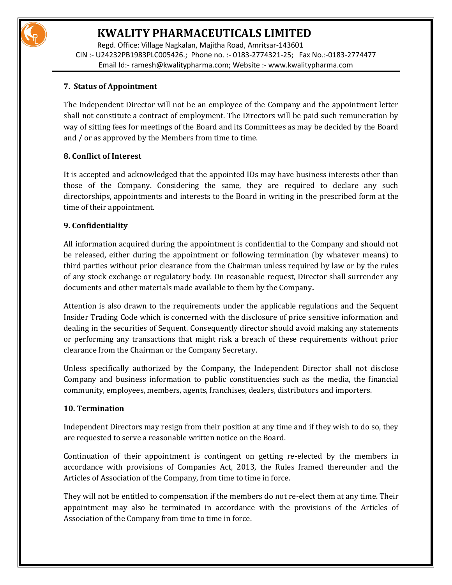

# **KWALITY PHARMACEUTICALS LIMITED**

 Regd. Office: Village Nagkalan, Majitha Road, Amritsar-143601 CIN :- U24232PB1983PLC005426.; Phone no. :- 0183-2774321-25; Fax No.:-0183-2774477 Email Id:- [ramesh@kwalitypharma.com;](mailto:ramesh@kwalitypharma.com) Website :[- www.kwalitypharma.com](http://www.kwalitypharma.com/) 

### **7. Status of Appointment**

The Independent Director will not be an employee of the Company and the appointment letter shall not constitute a contract of employment. The Directors will be paid such remuneration by way of sitting fees for meetings of the Board and its Committees as may be decided by the Board and / or as approved by the Members from time to time.

## **8. Conflict of Interest**

It is accepted and acknowledged that the appointed IDs may have business interests other than those of the Company. Considering the same, they are required to declare any such directorships, appointments and interests to the Board in writing in the prescribed form at the time of their appointment.

### **9. Confidentiality**

All information acquired during the appointment is confidential to the Company and should not be released, either during the appointment or following termination (by whatever means) to third parties without prior clearance from the Chairman unless required by law or by the rules of any stock exchange or regulatory body. On reasonable request, Director shall surrender any documents and other materials made available to them by the Company**.** 

Attention is also drawn to the requirements under the applicable regulations and the Sequent Insider Trading Code which is concerned with the disclosure of price sensitive information and dealing in the securities of Sequent. Consequently director should avoid making any statements or performing any transactions that might risk a breach of these requirements without prior clearance from the Chairman or the Company Secretary.

Unless specifically authorized by the Company, the Independent Director shall not disclose Company and business information to public constituencies such as the media, the financial community, employees, members, agents, franchises, dealers, distributors and importers.

### **10. Termination**

Independent Directors may resign from their position at any time and if they wish to do so, they are requested to serve a reasonable written notice on the Board.

Continuation of their appointment is contingent on getting re-elected by the members in accordance with provisions of Companies Act, 2013, the Rules framed thereunder and the Articles of Association of the Company, from time to time in force.

They will not be entitled to compensation if the members do not re-elect them at any time. Their appointment may also be terminated in accordance with the provisions of the Articles of Association of the Company from time to time in force.